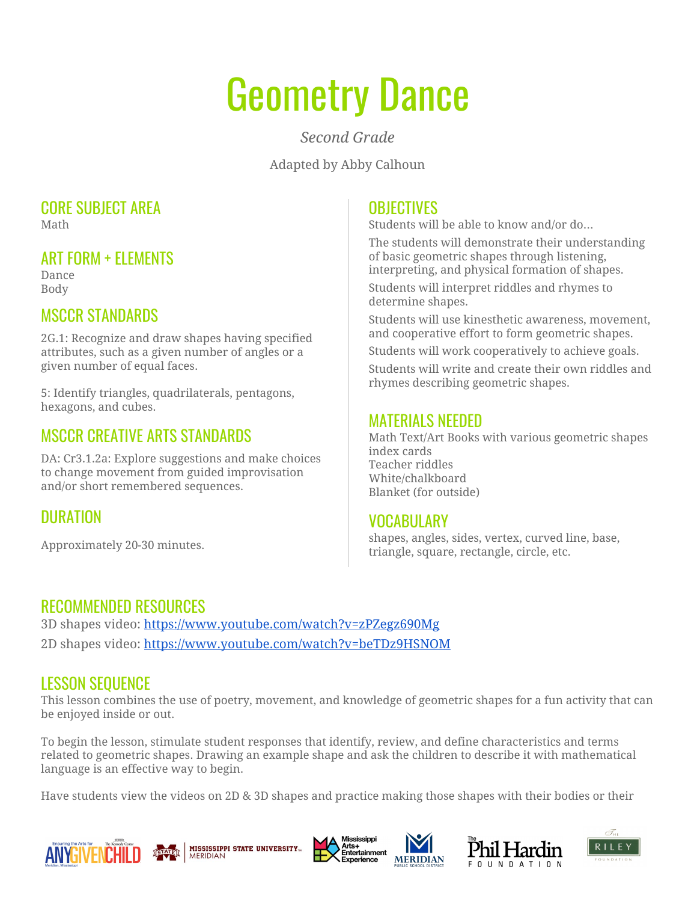# Geometry Dance

*Second Grade*

Adapted by Abby Calhoun

#### CORE SUBJECT AREA Math

#### ART FORM + ELEMENTS

Dance Body

# MSCCR STANDARDS

2G.1: Recognize and draw shapes having specified attributes, such as a given number of angles or a given number of equal faces.

5: Identify triangles, quadrilaterals, pentagons, hexagons, and cubes.

## MSCCR CREATIVE ARTS STANDARDS

DA: Cr3.1.2a: Explore suggestions and make choices to change movement from guided improvisation and/or short remembered sequences.

# DURATION

Approximately 20-30 minutes.

#### **OBJECTIVES**

Students will be able to know and/or do…

The students will demonstrate their understanding of basic geometric shapes through listening, interpreting, and physical formation of shapes.

Students will interpret riddles and rhymes to determine shapes.

Students will use kinesthetic awareness, movement, and cooperative effort to form geometric shapes.

Students will work cooperatively to achieve goals.

Students will write and create their own riddles and rhymes describing geometric shapes.

#### MATERIALS NEEDED

Math Text/Art Books with various geometric shapes index cards Teacher riddles White/chalkboard Blanket (for outside)

#### VOCABULARY

shapes, angles, sides, vertex, curved line, base, triangle, square, rectangle, circle, etc.

### RECOMMENDED RESOURCES

3D shapes video: <https://www.youtube.com/watch?v=zPZegz690Mg> 2D shapes video: <https://www.youtube.com/watch?v=beTDz9HSNOM>

### LESSON SEQUENCE

This lesson combines the use of poetry, movement, and knowledge of geometric shapes for a fun activity that can be enjoyed inside or out.

To begin the lesson, stimulate student responses that identify, review, and define characteristics and terms related to geometric shapes. Drawing an example shape and ask the children to describe it with mathematical language is an effective way to begin.

Have students view the videos on 2D & 3D shapes and practice making those shapes with their bodies or their











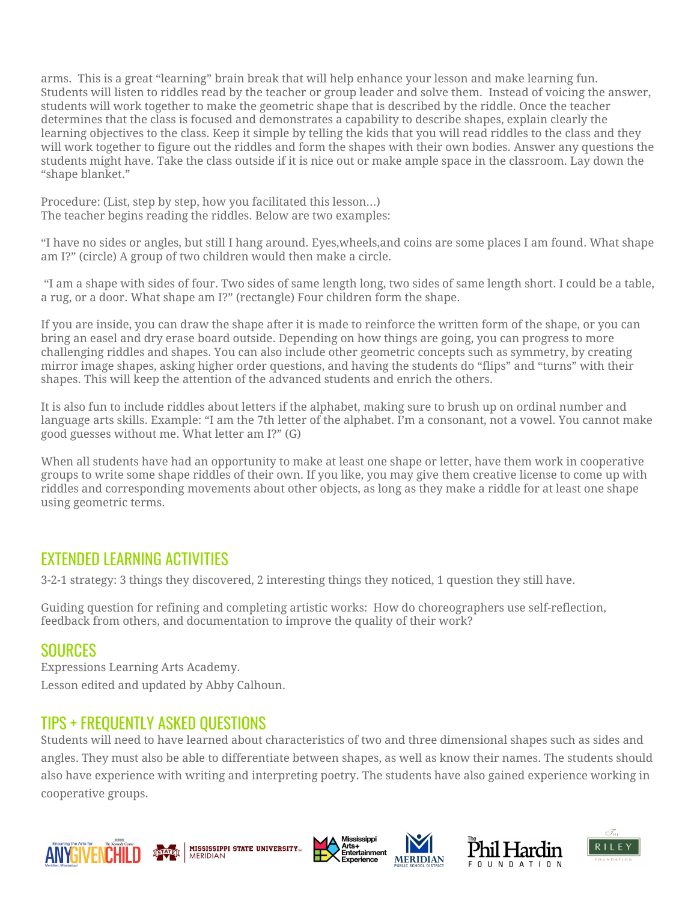arms. This is a great "learning" brain break that will help enhance your lesson and make learning fun. Students will listen to riddles read by the teacher or group leader and solve them. Instead of voicing the answer, students will work together to make the geometric shape that is described by the riddle. Once the teacher determines that the class is focused and demonstrates a capability to describe shapes, explain clearly the learning objectives to the class. Keep it simple by telling the kids that you will read riddles to the class and they will work together to figure out the riddles and form the shapes with their own bodies. Answer any questions the students might have. Take the class outside if it is nice out or make ample space in the classroom. Lay down the "shape blanket."

Procedure: (List, step by step, how you facilitated this lesson…) The teacher begins reading the riddles. Below are two examples:

"I have no sides or angles, but still I hang around. Eyes,wheels,and coins are some places I am found. What shape am I?" (circle) A group of two children would then make a circle.

"I am a shape with sides of four. Two sides of same length long, two sides of same length short. I could be a table, a rug, or a door. What shape am I?" (rectangle) Four children form the shape.

If you are inside, you can draw the shape after it is made to reinforce the written form of the shape, or you can bring an easel and dry erase board outside. Depending on how things are going, you can progress to more challenging riddles and shapes. You can also include other geometric concepts such as symmetry, by creating mirror image shapes, asking higher order questions, and having the students do "flips" and "turns" with their shapes. This will keep the attention of the advanced students and enrich the others.

It is also fun to include riddles about letters if the alphabet, making sure to brush up on ordinal number and language arts skills. Example: "I am the 7th letter of the alphabet. I'm a consonant, not a vowel. You cannot make good guesses without me. What letter am I?" (G)

When all students have had an opportunity to make at least one shape or letter, have them work in cooperative groups to write some shape riddles of their own. If you like, you may give them creative license to come up with riddles and corresponding movements about other objects, as long as they make a riddle for at least one shape using geometric terms.

### EXTENDED LEARNING ACTIVITIES

3-2-1 strategy: 3 things they discovered, 2 interesting things they noticed, 1 question they still have.

Guiding question for refining and completing artistic works: How do choreographers use self-reflection, feedback from others, and documentation to improve the quality of their work?

#### SOURCES

Expressions Learning Arts Academy. Lesson edited and updated by Abby Calhoun.

# TIPS + FREQUENTLY ASKED QUESTIONS

Students will need to have learned about characteristics of two and three dimensional shapes such as sides and angles. They must also be able to differentiate between shapes, as well as know their names. The students should also have experience with writing and interpreting poetry. The students have also gained experience working in cooperative groups.